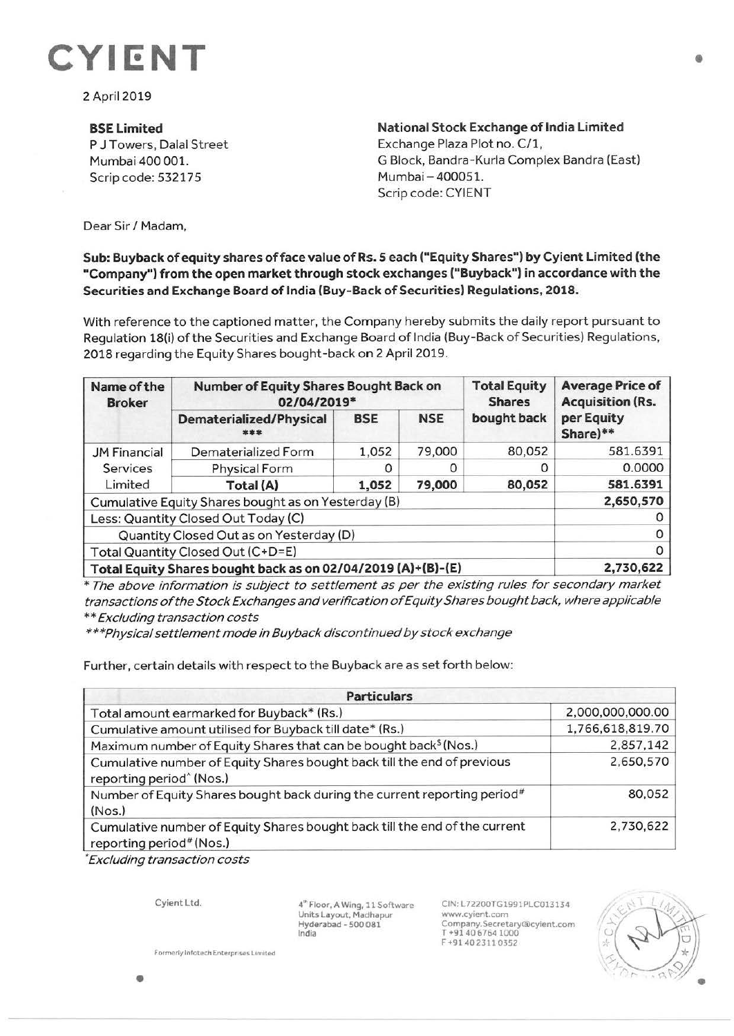

2 April 2019

**BSELimited**  P J Towers, Dalal Street Mumbai 400 001. Scrip code: 532175

**National Stock Exchange of India Limited**  Exchange Plaza Plot no. C/1, G Block, Bandra-Kurla Complex Sandra (East) Mumbai - 400051. Scrip code: CYIENT

Dear Sir/ Madam,

## **Sub: Buyback of equity shares of face value of Rs. S each ("Equity Shares") by Cyient Limited (the "Company") from the open market through stock exchanges ("Buyback") in accordance with the Securities and Exchange Board of India (Buy- Back of Securities) Regulations, 2018.**

With reference to the captioned matter, the Company hereby submits the daily report pursuant to Regulation 18(i) of the Securities and Exchange Board of India (Buy-Back of Securities) Regulations, 2018 regarding the Equity Shares bought-back on 2 April 2019.

| Name of the<br><b>Broker</b>                        | Number of Equity Shares Bought Back on<br>02/04/2019*        |            |            | <b>Total Equity</b><br><b>Shares</b> | <b>Average Price of</b><br><b>Acquisition (Rs.</b> |
|-----------------------------------------------------|--------------------------------------------------------------|------------|------------|--------------------------------------|----------------------------------------------------|
|                                                     | <b>Dematerialized/Physical</b><br>***                        | <b>BSE</b> | <b>NSE</b> | bought back                          | per Equity<br>Share)**                             |
| <b>JM Financial</b><br>Services<br>Limited          | Dematerialized Form                                          | 1,052      | 79,000     | 80,052                               | 581.6391                                           |
|                                                     | <b>Physical Form</b>                                         |            | Ο          | 0                                    | 0.0000                                             |
|                                                     | Total (A)                                                    | 1,052      | 79,000     | 80,052                               | 581.6391                                           |
| Cumulative Equity Shares bought as on Yesterday (B) |                                                              |            |            |                                      | 2,650,570                                          |
| Less: Quantity Closed Out Today (C)                 |                                                              |            |            |                                      |                                                    |
| Quantity Closed Out as on Yesterday (D)             |                                                              |            |            |                                      | O                                                  |
| Total Quantity Closed Out (C+D=E)                   |                                                              |            |            |                                      | $\Omega$                                           |
|                                                     | Total Equity Shares bought back as on 02/04/2019 (A)+(B)-(E) |            |            |                                      | 2,730,622                                          |

\* The above information is subject to settlement as per the existing rules for secondary market transactions of the Stock Exchanges and verification of Equity Shares bought back, where applicable \*\*Excluding transaction costs

\*\*\*Physical settlement mode in Buyback discontinued by stock exchange

Further, certain details with respect to the Buyback are as set forth below:

| <b>Particulars</b>                                                                                                 |                  |  |  |  |
|--------------------------------------------------------------------------------------------------------------------|------------------|--|--|--|
| Total amount earmarked for Buyback* (Rs.)                                                                          | 2,000,000,000.00 |  |  |  |
| Cumulative amount utilised for Buyback till date* (Rs.)                                                            | 1,766,618,819.70 |  |  |  |
| Maximum number of Equity Shares that can be bought back <sup>§</sup> (Nos.)                                        | 2,857,142        |  |  |  |
| Cumulative number of Equity Shares bought back till the end of previous<br>reporting period <sup>^</sup> (Nos.)    | 2,650,570        |  |  |  |
| Number of Equity Shares bought back during the current reporting period <sup>#</sup><br>(Nos.)                     | 80,052           |  |  |  |
| Cumulative number of Equity Shares bought back till the end of the current<br>reporting period <sup>#</sup> (Nos.) | 2,730,622        |  |  |  |

• Excluding transaction costs

Cyient Ltd.

4" Floor, A Wing. 11 Software Units Layout, Madhapur Hyderabad• 500 081 India

CIN:L72200TG1991PLC013134 www.cyient.com Company.Secretary®cylent.com T **-t9 l** 40 6764 1000 F +91402311035?



**Formerly Infotech Enterprises Limited**